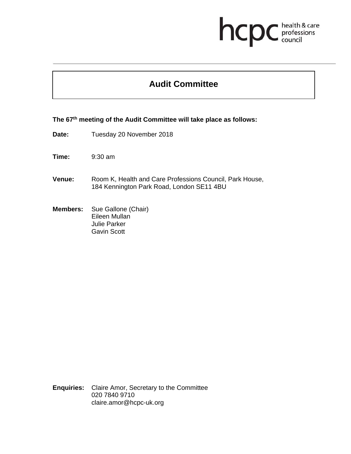## health & care<br>professions<br>council hcp

## **Audit Committee**

**The 67th meeting of the Audit Committee will take place as follows:** 

Date: Tuesday 20 November 2018

**Time:** 9:30 am

- **Venue:** Room K, Health and Care Professions Council, Park House, 184 Kennington Park Road, London SE11 4BU
- **Members:** Sue Gallone (Chair) Eileen Mullan Julie Parker Gavin Scott

**Enquiries:** Claire Amor, Secretary to the Committee 020 7840 9710 claire.amor@hcpc-uk.org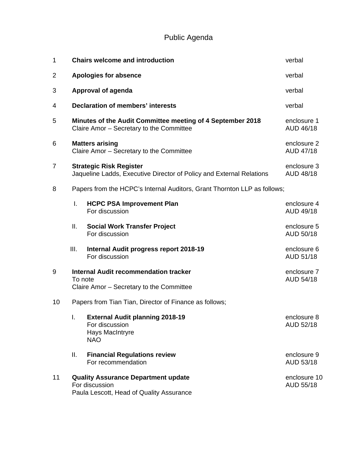Public Agenda

| 1  | <b>Chairs welcome and introduction</b>                                                                 |                                                                                                          | verbal                    |  |  |
|----|--------------------------------------------------------------------------------------------------------|----------------------------------------------------------------------------------------------------------|---------------------------|--|--|
| 2  | <b>Apologies for absence</b>                                                                           | verbal                                                                                                   |                           |  |  |
| 3  | Approval of agenda                                                                                     | verbal                                                                                                   |                           |  |  |
| 4  | <b>Declaration of members' interests</b>                                                               | verbal                                                                                                   |                           |  |  |
| 5  | Minutes of the Audit Committee meeting of 4 September 2018<br>Claire Amor - Secretary to the Committee |                                                                                                          | enclosure 1<br>AUD 46/18  |  |  |
| 6  | <b>Matters arising</b><br>Claire Amor - Secretary to the Committee                                     |                                                                                                          | enclosure 2<br>AUD 47/18  |  |  |
| 7  | <b>Strategic Risk Register</b><br>Jaqueline Ladds, Executive Director of Policy and External Relations |                                                                                                          | enclosure 3<br>AUD 48/18  |  |  |
| 8  | Papers from the HCPC's Internal Auditors, Grant Thornton LLP as follows;                               |                                                                                                          |                           |  |  |
|    | I.                                                                                                     | <b>HCPC PSA Improvement Plan</b><br>For discussion                                                       | enclosure 4<br>AUD 49/18  |  |  |
|    | ΙΙ.                                                                                                    | <b>Social Work Transfer Project</b><br>For discussion                                                    | enclosure 5<br>AUD 50/18  |  |  |
|    | Ш.                                                                                                     | Internal Audit progress report 2018-19<br>For discussion                                                 | enclosure 6<br>AUD 51/18  |  |  |
| 9  | <b>Internal Audit recommendation tracker</b><br>To note<br>Claire Amor - Secretary to the Committee    |                                                                                                          | enclosure 7<br>AUD 54/18  |  |  |
| 10 | Papers from Tian Tian, Director of Finance as follows;                                                 |                                                                                                          |                           |  |  |
|    | I.                                                                                                     | <b>External Audit planning 2018-19</b><br>For discussion<br>Hays MacIntryre<br><b>NAO</b>                | enclosure 8<br>AUD 52/18  |  |  |
|    | Ш.                                                                                                     | <b>Financial Regulations review</b><br>For recommendation                                                | enclosure 9<br>AUD 53/18  |  |  |
| 11 |                                                                                                        | <b>Quality Assurance Department update</b><br>For discussion<br>Paula Lescott, Head of Quality Assurance | enclosure 10<br>AUD 55/18 |  |  |